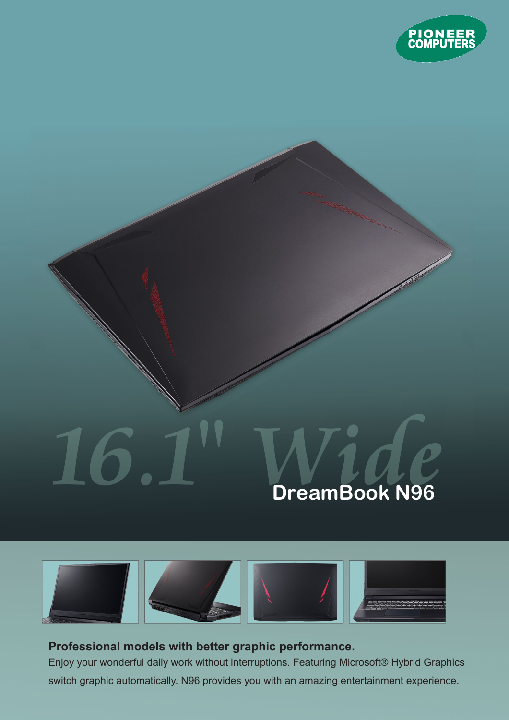

## **16.1" Wide DreamBook N96**



## **Professional models with better graphic performance.**

Enjoy your wonderful daily work without interruptions. Featuring Microsoft® Hybrid Graphics switch graphic automatically. N96 provides you with an amazing entertainment experience.